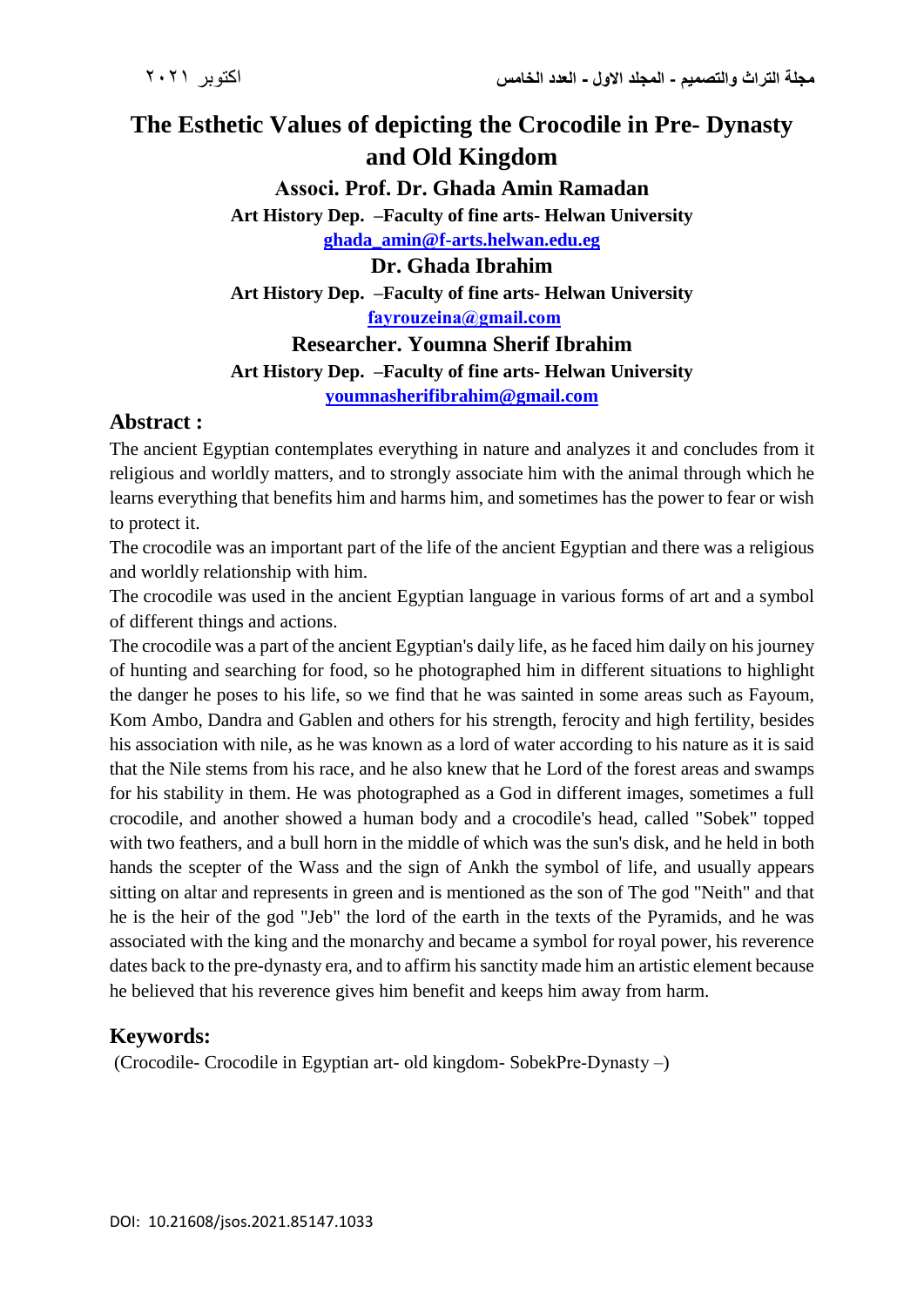# **The Esthetic Values of depicting the Crocodile in Pre- Dynasty and Old Kingdom**

**Associ. Prof. Dr. Ghada Amin Ramadan Art History Dep. –Faculty of fine arts- Helwan University [ghada\\_amin@f-arts.helwan.edu.eg](mailto:ghada_amin@f-arts.helwan.edu.eg) Dr. Ghada Ibrahim Art History Dep. –Faculty of fine arts- Helwan University [fayrouzeina@gmail.com](mailto:fayrouzeina@gmail.com) Researcher. Youmna Sherif Ibrahim Art History Dep. –Faculty of fine arts- Helwan University**

**[youmnasherifibrahim@gmail.com](mailto:youmnasherifibrahim@gmail.com)**

## **Abstract :**

The ancient Egyptian contemplates everything in nature and analyzes it and concludes from it religious and worldly matters, and to strongly associate him with the animal through which he learns everything that benefits him and harms him, and sometimes has the power to fear or wish to protect it.

The crocodile was an important part of the life of the ancient Egyptian and there was a religious and worldly relationship with him.

The crocodile was used in the ancient Egyptian language in various forms of art and a symbol of different things and actions.

The crocodile was a part of the ancient Egyptian's daily life, as he faced him daily on his journey of hunting and searching for food, so he photographed him in different situations to highlight the danger he poses to his life, so we find that he was sainted in some areas such as Fayoum, Kom Ambo, Dandra and Gablen and others for his strength, ferocity and high fertility, besides his association with nile, as he was known as a lord of water according to his nature as it is said that the Nile stems from his race, and he also knew that he Lord of the forest areas and swamps for his stability in them. He was photographed as a God in different images, sometimes a full crocodile, and another showed a human body and a crocodile's head, called "Sobek" topped with two feathers, and a bull horn in the middle of which was the sun's disk, and he held in both hands the scepter of the Wass and the sign of Ankh the symbol of life, and usually appears sitting on altar and represents in green and is mentioned as the son of The god "Neith" and that he is the heir of the god "Jeb" the lord of the earth in the texts of the Pyramids, and he was associated with the king and the monarchy and became a symbol for royal power, his reverence dates back to the pre-dynasty era, and to affirm hissanctity made him an artistic element because he believed that his reverence gives him benefit and keeps him away from harm.

## **Keywords:**

(Crocodile- Crocodile in Egyptian art- old kingdom- SobekPre-Dynasty –)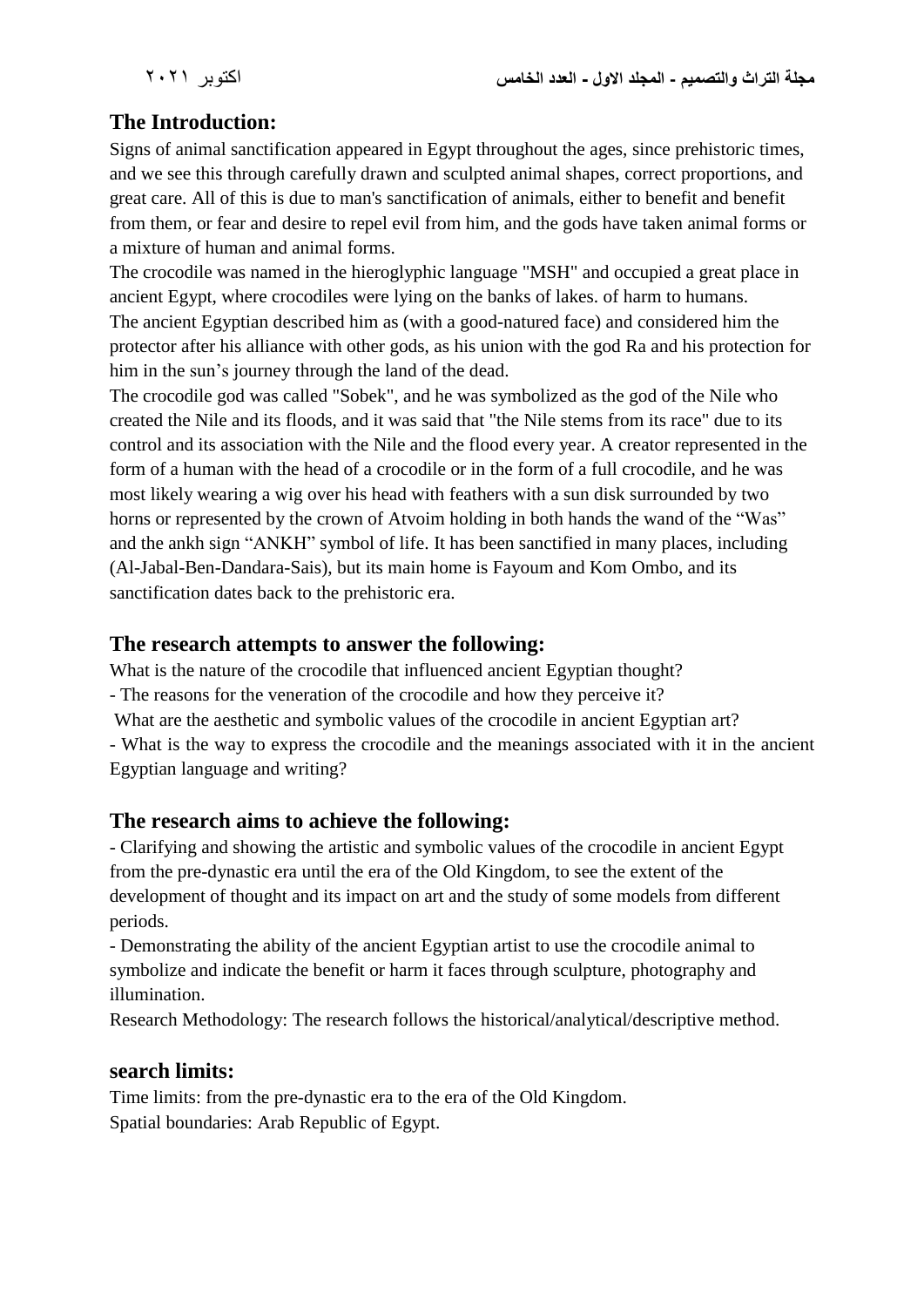# **The Introduction:**

Signs of animal sanctification appeared in Egypt throughout the ages, since prehistoric times, and we see this through carefully drawn and sculpted animal shapes, correct proportions, and great care. All of this is due to man's sanctification of animals, either to benefit and benefit from them, or fear and desire to repel evil from him, and the gods have taken animal forms or a mixture of human and animal forms.

The crocodile was named in the hieroglyphic language "MSH" and occupied a great place in ancient Egypt, where crocodiles were lying on the banks of lakes. of harm to humans. The ancient Egyptian described him as (with a good-natured face) and considered him the protector after his alliance with other gods, as his union with the god Ra and his protection for him in the sun's journey through the land of the dead.

The crocodile god was called "Sobek", and he was symbolized as the god of the Nile who created the Nile and its floods, and it was said that "the Nile stems from its race" due to its control and its association with the Nile and the flood every year. A creator represented in the form of a human with the head of a crocodile or in the form of a full crocodile, and he was most likely wearing a wig over his head with feathers with a sun disk surrounded by two horns or represented by the crown of Atvoim holding in both hands the wand of the "Was" and the ankh sign "ANKH" symbol of life. It has been sanctified in many places, including (Al-Jabal-Ben-Dandara-Sais), but its main home is Fayoum and Kom Ombo, and its sanctification dates back to the prehistoric era.

#### **The research attempts to answer the following:**

What is the nature of the crocodile that influenced ancient Egyptian thought?

- The reasons for the veneration of the crocodile and how they perceive it?
- What are the aesthetic and symbolic values of the crocodile in ancient Egyptian art?

- What is the way to express the crocodile and the meanings associated with it in the ancient Egyptian language and writing?

## **The research aims to achieve the following:**

- Clarifying and showing the artistic and symbolic values of the crocodile in ancient Egypt from the pre-dynastic era until the era of the Old Kingdom, to see the extent of the development of thought and its impact on art and the study of some models from different periods.

- Demonstrating the ability of the ancient Egyptian artist to use the crocodile animal to symbolize and indicate the benefit or harm it faces through sculpture, photography and illumination.

Research Methodology: The research follows the historical/analytical/descriptive method.

#### **search limits:**

Time limits: from the pre-dynastic era to the era of the Old Kingdom. Spatial boundaries: Arab Republic of Egypt.